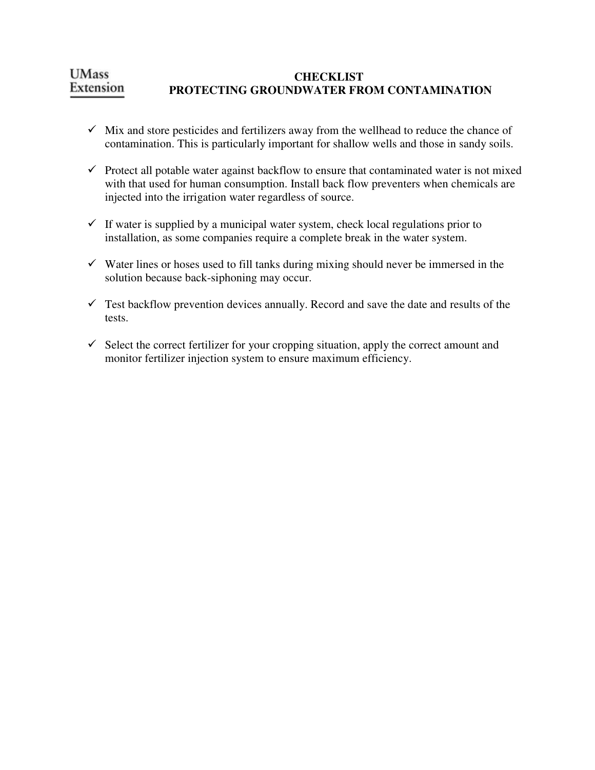## **UMass CHECKLIST**  Extension  **PROTECTING GROUNDWATER FROM CONTAMINATION**

- $\checkmark$  Mix and store pesticides and fertilizers away from the wellhead to reduce the chance of contamination. This is particularly important for shallow wells and those in sandy soils.
- $\checkmark$  Protect all potable water against backflow to ensure that contaminated water is not mixed with that used for human consumption. Install back flow preventers when chemicals are injected into the irrigation water regardless of source.
- $\checkmark$  If water is supplied by a municipal water system, check local regulations prior to installation, as some companies require a complete break in the water system.
- $\checkmark$  Water lines or hoses used to fill tanks during mixing should never be immersed in the solution because back-siphoning may occur.
- $\checkmark$  Test backflow prevention devices annually. Record and save the date and results of the tests.
- $\checkmark$  Select the correct fertilizer for your cropping situation, apply the correct amount and monitor fertilizer injection system to ensure maximum efficiency.